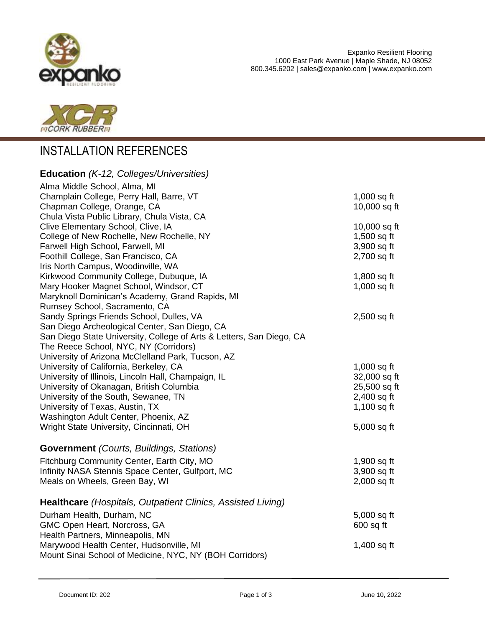



## INSTALLATION REFERENCES

| <b>Education</b> (K-12, Colleges/Universities)                       |               |
|----------------------------------------------------------------------|---------------|
| Alma Middle School, Alma, MI                                         |               |
| Champlain College, Perry Hall, Barre, VT                             | $1,000$ sq ft |
| Chapman College, Orange, CA                                          | 10,000 sq ft  |
| Chula Vista Public Library, Chula Vista, CA                          |               |
| Clive Elementary School, Clive, IA                                   | 10,000 sq ft  |
| College of New Rochelle, New Rochelle, NY                            | 1,500 sq ft   |
| Farwell High School, Farwell, MI                                     | 3,900 sq ft   |
| Foothill College, San Francisco, CA                                  | 2,700 sq ft   |
| Iris North Campus, Woodinville, WA                                   |               |
| Kirkwood Community College, Dubuque, IA                              | 1,800 sq ft   |
| Mary Hooker Magnet School, Windsor, CT                               | $1,000$ sq ft |
| Maryknoll Dominican's Academy, Grand Rapids, MI                      |               |
| Rumsey School, Sacramento, CA                                        |               |
| Sandy Springs Friends School, Dulles, VA                             | $2,500$ sq ft |
| San Diego Archeological Center, San Diego, CA                        |               |
| San Diego State University, College of Arts & Letters, San Diego, CA |               |
| The Reece School, NYC, NY (Corridors)                                |               |
| University of Arizona McClelland Park, Tucson, AZ                    |               |
| University of California, Berkeley, CA                               | $1,000$ sq ft |
| University of Illinois, Lincoln Hall, Champaign, IL                  | 32,000 sq ft  |
| University of Okanagan, British Columbia                             | 25,500 sq ft  |
| University of the South, Sewanee, TN                                 | $2,400$ sq ft |
| University of Texas, Austin, TX                                      | $1,100$ sq ft |
| Washington Adult Center, Phoenix, AZ                                 |               |
| Wright State University, Cincinnati, OH                              | 5,000 sq ft   |
| <b>Government</b> (Courts, Buildings, Stations)                      |               |
| Fitchburg Community Center, Earth City, MO                           | 1,900 sq ft   |
| Infinity NASA Stennis Space Center, Gulfport, MC                     | 3,900 sq ft   |
| Meals on Wheels, Green Bay, WI                                       | $2,000$ sq ft |
| Healthcare (Hospitals, Outpatient Clinics, Assisted Living)          |               |
| Durham Health, Durham, NC                                            | 5,000 sq ft   |
| GMC Open Heart, Norcross, GA                                         | $600$ sq ft   |
| Health Partners, Minneapolis, MN                                     |               |
| Marywood Health Center, Hudsonville, MI                              | 1,400 sq ft   |
| Mount Sinai School of Medicine, NYC, NY (BOH Corridors)              |               |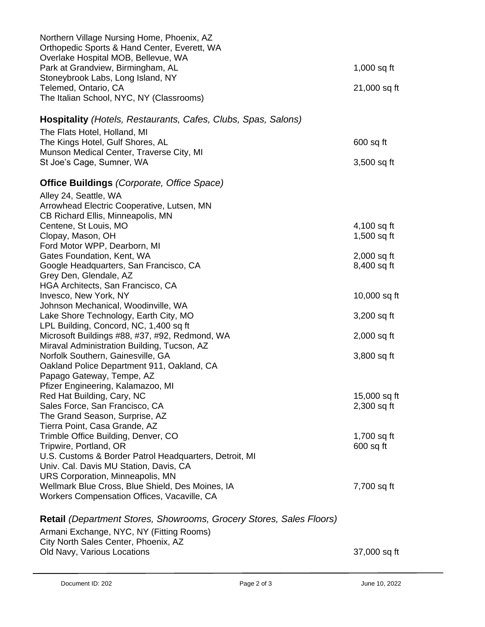| Northern Village Nursing Home, Phoenix, AZ<br>Orthopedic Sports & Hand Center, Everett, WA<br>Overlake Hospital MOB, Bellevue, WA |                              |
|-----------------------------------------------------------------------------------------------------------------------------------|------------------------------|
| Park at Grandview, Birmingham, AL                                                                                                 | $1,000$ sq ft                |
| Stoneybrook Labs, Long Island, NY<br>Telemed, Ontario, CA                                                                         | 21,000 sq ft                 |
| The Italian School, NYC, NY (Classrooms)                                                                                          |                              |
| <b>Hospitality</b> (Hotels, Restaurants, Cafes, Clubs, Spas, Salons)                                                              |                              |
| The Flats Hotel, Holland, MI                                                                                                      |                              |
| The Kings Hotel, Gulf Shores, AL<br>Munson Medical Center, Traverse City, MI                                                      | $600$ sq ft                  |
| St Joe's Cage, Sumner, WA                                                                                                         | $3,500$ sq ft                |
| <b>Office Buildings (Corporate, Office Space)</b>                                                                                 |                              |
| Alley 24, Seattle, WA                                                                                                             |                              |
| Arrowhead Electric Cooperative, Lutsen, MN                                                                                        |                              |
| CB Richard Ellis, Minneapolis, MN                                                                                                 |                              |
| Centene, St Louis, MO<br>Clopay, Mason, OH                                                                                        | 4,100 sq ft<br>$1,500$ sq ft |
| Ford Motor WPP, Dearborn, MI                                                                                                      |                              |
| Gates Foundation, Kent, WA                                                                                                        | $2,000$ sq ft                |
| Google Headquarters, San Francisco, CA                                                                                            | 8,400 sq ft                  |
| Grey Den, Glendale, AZ                                                                                                            |                              |
| HGA Architects, San Francisco, CA                                                                                                 |                              |
| Invesco, New York, NY                                                                                                             | 10,000 sq ft                 |
| Johnson Mechanical, Woodinville, WA                                                                                               |                              |
| Lake Shore Technology, Earth City, MO<br>LPL Building, Concord, NC, 1,400 sq ft                                                   | $3,200$ sq ft                |
| Microsoft Buildings #88, #37, #92, Redmond, WA                                                                                    | $2,000$ sq ft                |
| Miraval Administration Building, Tucson, AZ                                                                                       |                              |
| Norfolk Southern, Gainesville, GA                                                                                                 | 3,800 sq ft                  |
| Oakland Police Department 911, Oakland, CA                                                                                        |                              |
| Papago Gateway, Tempe, AZ                                                                                                         |                              |
| Pfizer Engineering, Kalamazoo, MI                                                                                                 |                              |
| Red Hat Building, Cary, NC                                                                                                        | 15,000 sq ft                 |
| Sales Force, San Francisco, CA                                                                                                    | $2,300$ sq ft                |
| The Grand Season, Surprise, AZ<br>Tierra Point, Casa Grande, AZ                                                                   |                              |
| Trimble Office Building, Denver, CO                                                                                               | 1,700 sq ft                  |
| Tripwire, Portland, OR                                                                                                            | $600$ sq ft                  |
| U.S. Customs & Border Patrol Headquarters, Detroit, MI                                                                            |                              |
| Univ. Cal. Davis MU Station, Davis, CA                                                                                            |                              |
| <b>URS Corporation, Minneapolis, MN</b>                                                                                           |                              |
| Wellmark Blue Cross, Blue Shield, Des Moines, IA                                                                                  | 7,700 sq ft                  |
| Workers Compensation Offices, Vacaville, CA                                                                                       |                              |
| <b>Retail</b> (Department Stores, Showrooms, Grocery Stores, Sales Floors)                                                        |                              |
| Armani Exchange, NYC, NY (Fitting Rooms)                                                                                          |                              |
| City North Sales Center, Phoenix, AZ                                                                                              |                              |
| Old Navy, Various Locations                                                                                                       | 37,000 sq ft                 |